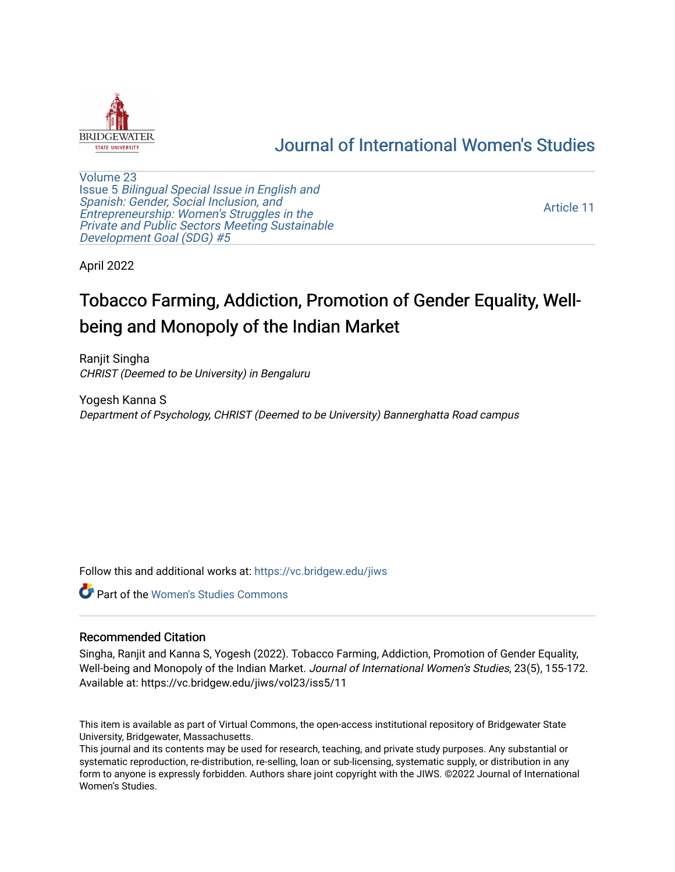

# [Journal of International Women's Studies](https://vc.bridgew.edu/jiws)

[Volume 23](https://vc.bridgew.edu/jiws/vol23) Issue 5 [Bilingual Special Issue in English and](https://vc.bridgew.edu/jiws/vol23/iss5)  [Spanish: Gender, Social Inclusion, and](https://vc.bridgew.edu/jiws/vol23/iss5)  [Entrepreneurship: Women's Struggles in the](https://vc.bridgew.edu/jiws/vol23/iss5)  [Private and Public Sectors Meeting Sustainable](https://vc.bridgew.edu/jiws/vol23/iss5) [Development Goal \(SDG\) #5](https://vc.bridgew.edu/jiws/vol23/iss5) 

[Article 11](https://vc.bridgew.edu/jiws/vol23/iss5/11) 

April 2022

# Tobacco Farming, Addiction, Promotion of Gender Equality, Wellbeing and Monopoly of the Indian Market

Ranjit Singha CHRIST (Deemed to be University) in Bengaluru

Yogesh Kanna S Department of Psychology, CHRIST (Deemed to be University) Bannerghatta Road campus

Follow this and additional works at: [https://vc.bridgew.edu/jiws](https://vc.bridgew.edu/jiws?utm_source=vc.bridgew.edu%2Fjiws%2Fvol23%2Fiss5%2F11&utm_medium=PDF&utm_campaign=PDFCoverPages)

**C** Part of the Women's Studies Commons

#### Recommended Citation

Singha, Ranjit and Kanna S, Yogesh (2022). Tobacco Farming, Addiction, Promotion of Gender Equality, Well-being and Monopoly of the Indian Market. Journal of International Women's Studies, 23(5), 155-172. Available at: https://vc.bridgew.edu/jiws/vol23/iss5/11

This item is available as part of Virtual Commons, the open-access institutional repository of Bridgewater State University, Bridgewater, Massachusetts.

This journal and its contents may be used for research, teaching, and private study purposes. Any substantial or systematic reproduction, re-distribution, re-selling, loan or sub-licensing, systematic supply, or distribution in any form to anyone is expressly forbidden. Authors share joint copyright with the JIWS. ©2022 Journal of International Women's Studies.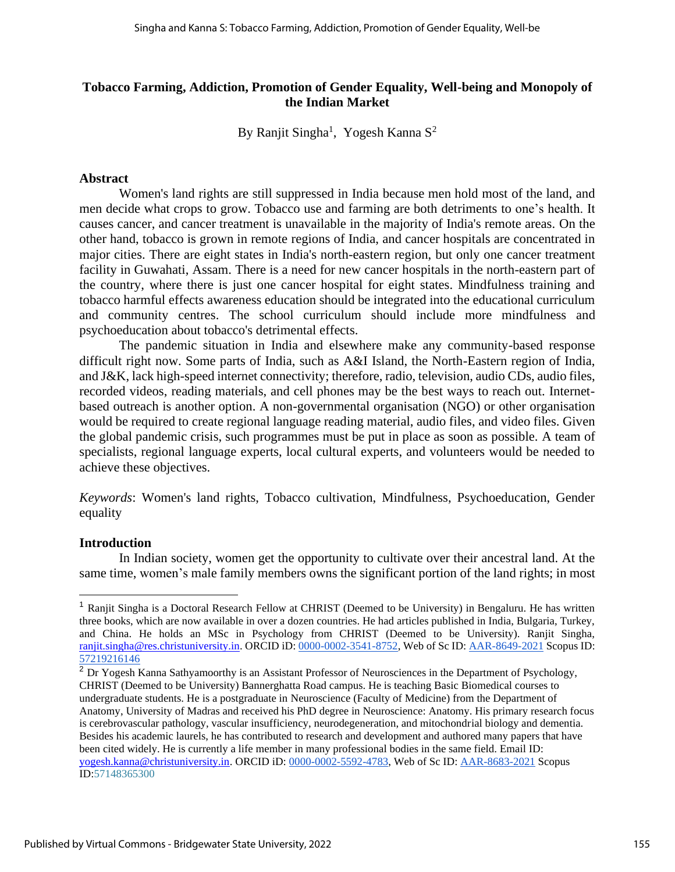#### **Tobacco Farming, Addiction, Promotion of Gender Equality, Well-being and Monopoly of the Indian Market**

By Ranjit Singha<sup>1</sup>, Yogesh Kanna S<sup>2</sup>

#### **Abstract**

Women's land rights are still suppressed in India because men hold most of the land, and men decide what crops to grow. Tobacco use and farming are both detriments to one's health. It causes cancer, and cancer treatment is unavailable in the majority of India's remote areas. On the other hand, tobacco is grown in remote regions of India, and cancer hospitals are concentrated in major cities. There are eight states in India's north-eastern region, but only one cancer treatment facility in Guwahati, Assam. There is a need for new cancer hospitals in the north-eastern part of the country, where there is just one cancer hospital for eight states. Mindfulness training and tobacco harmful effects awareness education should be integrated into the educational curriculum and community centres. The school curriculum should include more mindfulness and psychoeducation about tobacco's detrimental effects.

The pandemic situation in India and elsewhere make any community-based response difficult right now. Some parts of India, such as A&I Island, the North-Eastern region of India, and J&K, lack high-speed internet connectivity; therefore, radio, television, audio CDs, audio files, recorded videos, reading materials, and cell phones may be the best ways to reach out. Internetbased outreach is another option. A non-governmental organisation (NGO) or other organisation would be required to create regional language reading material, audio files, and video files. Given the global pandemic crisis, such programmes must be put in place as soon as possible. A team of specialists, regional language experts, local cultural experts, and volunteers would be needed to achieve these objectives.

*Keywords*: Women's land rights, Tobacco cultivation, Mindfulness, Psychoeducation, Gender equality

#### **Introduction**

In Indian society, women get the opportunity to cultivate over their ancestral land. At the same time, women's male family members owns the significant portion of the land rights; in most

<sup>&</sup>lt;sup>1</sup> Ranjit Singha is a Doctoral Research Fellow at CHRIST (Deemed to be University) in Bengaluru. He has written three books, which are now available in over a dozen countries. He had articles published in India, Bulgaria, Turkey, and China. He holds an MSc in Psychology from CHRIST (Deemed to be University). Ranjit Singha, [ranjit.singha@res.christuniversity.in.](mailto:ranjit.singha@res.christuniversity.in) ORCID iD[:](https://orcid.org/0000-0002-3541-8752) [0000-0002-3541-8752,](https://orcid.org/0000-0002-3541-8752) Web of Sc ID: [AAR-8649-2021](https://publons.com/researcher/AAR-8649-2021/) Scopus ID[:](https://www.scopus.com/authid/detail.uri?authorId=57219216146) [57219216146](https://www.scopus.com/authid/detail.uri?authorId=57219216146)

<sup>&</sup>lt;sup>2</sup> Dr Yogesh Kanna Sathyamoorthy is an Assistant Professor of Neurosciences in the Department of Psychology, CHRIST (Deemed to be University) Bannerghatta Road campus. He is teaching Basic Biomedical courses to undergraduate students. He is a postgraduate in Neuroscience (Faculty of Medicine) from the Department of Anatomy, University of Madras and received his PhD degree in Neuroscience: Anatomy. His primary research focus is cerebrovascular pathology, vascular insufficiency, neurodegeneration, and mitochondrial biology and dementia. Besides his academic laurels, he has contributed to research and development and authored many papers that have been cited widely. He is currently a life member in many professional bodies in the same field. Email ID: [yogesh.kanna@christuniversity.in.](mailto:yogesh.kanna@christuniversity.in) ORCID iD: [0000-0002-5592-4783,](https://orcid.org/0000-0002-5592-4783) Web of Sc ID[:](https://publons.com/researcher/AAR-8683-2021/) [AAR-8683-2021](https://publons.com/researcher/AAR-8683-2021/) Scopus ID[:57148365300](http://www.scopus.com/inward/authorDetails.url?authorID=57148365300&partnerID=MN8TOARS)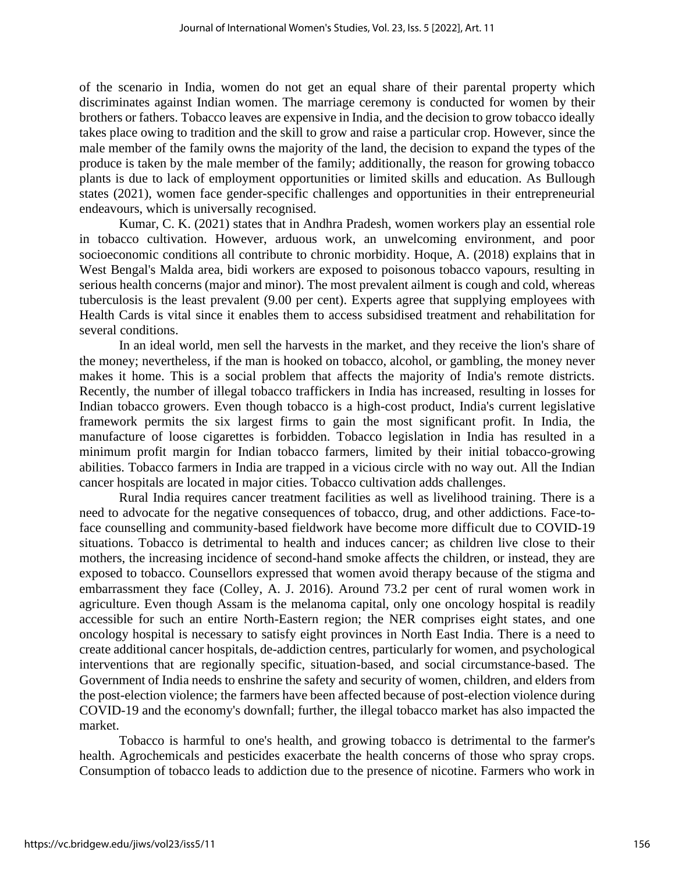of the scenario in India, women do not get an equal share of their parental property which discriminates against Indian women. The marriage ceremony is conducted for women by their brothers or fathers. Tobacco leaves are expensive in India, and the decision to grow tobacco ideally takes place owing to tradition and the skill to grow and raise a particular crop. However, since the male member of the family owns the majority of the land, the decision to expand the types of the produce is taken by the male member of the family; additionally, the reason for growing tobacco plants is due to lack of employment opportunities or limited skills and education. As Bullough states (2021), women face gender-specific challenges and opportunities in their entrepreneurial endeavours, which is universally recognised.

Kumar, C. K. (2021) states that in Andhra Pradesh, women workers play an essential role in tobacco cultivation. However, arduous work, an unwelcoming environment, and poor socioeconomic conditions all contribute to chronic morbidity. Hoque, A. (2018) explains that in West Bengal's Malda area, bidi workers are exposed to poisonous tobacco vapours, resulting in serious health concerns (major and minor). The most prevalent ailment is cough and cold, whereas tuberculosis is the least prevalent (9.00 per cent). Experts agree that supplying employees with Health Cards is vital since it enables them to access subsidised treatment and rehabilitation for several conditions.

In an ideal world, men sell the harvests in the market, and they receive the lion's share of the money; nevertheless, if the man is hooked on tobacco, alcohol, or gambling, the money never makes it home. This is a social problem that affects the majority of India's remote districts. Recently, the number of illegal tobacco traffickers in India has increased, resulting in losses for Indian tobacco growers. Even though tobacco is a high-cost product, India's current legislative framework permits the six largest firms to gain the most significant profit. In India, the manufacture of loose cigarettes is forbidden. Tobacco legislation in India has resulted in a minimum profit margin for Indian tobacco farmers, limited by their initial tobacco-growing abilities. Tobacco farmers in India are trapped in a vicious circle with no way out. All the Indian cancer hospitals are located in major cities. Tobacco cultivation adds challenges.

Rural India requires cancer treatment facilities as well as livelihood training. There is a need to advocate for the negative consequences of tobacco, drug, and other addictions. Face-toface counselling and community-based fieldwork have become more difficult due to COVID-19 situations. Tobacco is detrimental to health and induces cancer; as children live close to their mothers, the increasing incidence of second-hand smoke affects the children, or instead, they are exposed to tobacco. Counsellors expressed that women avoid therapy because of the stigma and embarrassment they face (Colley, A. J. 2016). Around 73.2 per cent of rural women work in agriculture. Even though Assam is the melanoma capital, only one oncology hospital is readily accessible for such an entire North-Eastern region; the NER comprises eight states, and one oncology hospital is necessary to satisfy eight provinces in North East India. There is a need to create additional cancer hospitals, de-addiction centres, particularly for women, and psychological interventions that are regionally specific, situation-based, and social circumstance-based. The Government of India needs to enshrine the safety and security of women, children, and elders from the post-election violence; the farmers have been affected because of post-election violence during COVID-19 and the economy's downfall; further, the illegal tobacco market has also impacted the market.

Tobacco is harmful to one's health, and growing tobacco is detrimental to the farmer's health. Agrochemicals and pesticides exacerbate the health concerns of those who spray crops. Consumption of tobacco leads to addiction due to the presence of nicotine. Farmers who work in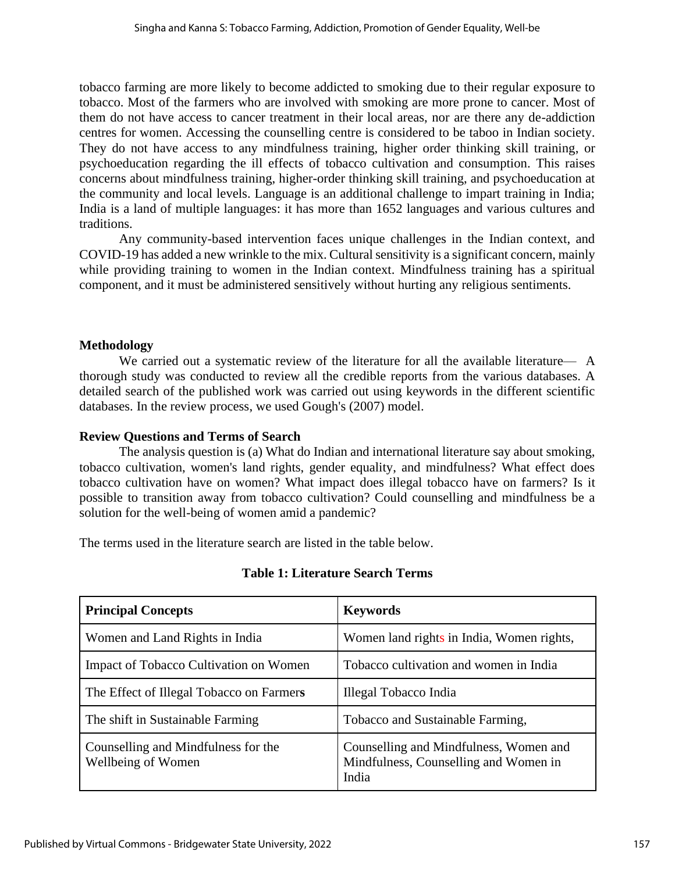tobacco farming are more likely to become addicted to smoking due to their regular exposure to tobacco. Most of the farmers who are involved with smoking are more prone to cancer. Most of them do not have access to cancer treatment in their local areas, nor are there any de-addiction centres for women. Accessing the counselling centre is considered to be taboo in Indian society. They do not have access to any mindfulness training, higher order thinking skill training, or psychoeducation regarding the ill effects of tobacco cultivation and consumption. This raises concerns about mindfulness training, higher-order thinking skill training, and psychoeducation at the community and local levels. Language is an additional challenge to impart training in India; India is a land of multiple languages: it has more than 1652 languages and various cultures and traditions.

Any community-based intervention faces unique challenges in the Indian context, and COVID-19 has added a new wrinkle to the mix. Cultural sensitivity is a significant concern, mainly while providing training to women in the Indian context. Mindfulness training has a spiritual component, and it must be administered sensitively without hurting any religious sentiments.

# **Methodology**

We carried out a systematic review of the literature for all the available literature— A thorough study was conducted to review all the credible reports from the various databases. A detailed search of the published work was carried out using keywords in the different scientific databases. In the review process, we used Gough's (2007) model.

#### **Review Questions and Terms of Search**

The analysis question is (a) What do Indian and international literature say about smoking, tobacco cultivation, women's land rights, gender equality, and mindfulness? What effect does tobacco cultivation have on women? What impact does illegal tobacco have on farmers? Is it possible to transition away from tobacco cultivation? Could counselling and mindfulness be a solution for the well-being of women amid a pandemic?

The terms used in the literature search are listed in the table below.

| <b>Principal Concepts</b>                                 | <b>Keywords</b>                                                                          |
|-----------------------------------------------------------|------------------------------------------------------------------------------------------|
| Women and Land Rights in India                            | Women land rights in India, Women rights,                                                |
| <b>Impact of Tobacco Cultivation on Women</b>             | Tobacco cultivation and women in India                                                   |
| The Effect of Illegal Tobacco on Farmers                  | Illegal Tobacco India                                                                    |
| The shift in Sustainable Farming                          | Tobacco and Sustainable Farming,                                                         |
| Counselling and Mindfulness for the<br>Wellbeing of Women | Counselling and Mindfulness, Women and<br>Mindfulness, Counselling and Women in<br>India |

#### **Table 1: Literature Search Terms**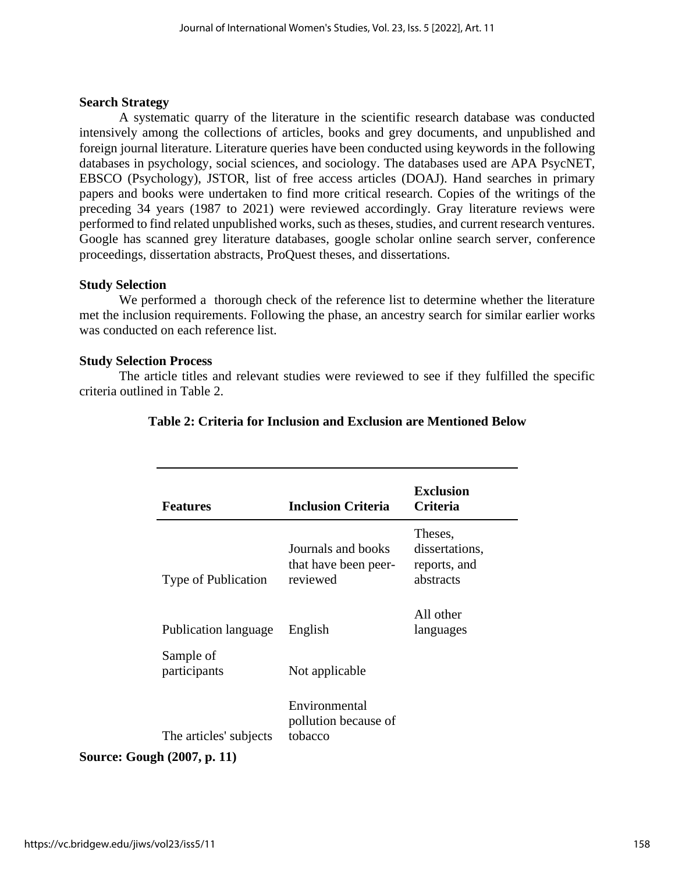#### **Search Strategy**

A systematic quarry of the literature in the scientific research database was conducted intensively among the collections of articles, books and grey documents, and unpublished and foreign journal literature. Literature queries have been conducted using keywords in the following databases in psychology, social sciences, and sociology. The databases used are APA PsycNET, EBSCO (Psychology), JSTOR, list of free access articles (DOAJ). Hand searches in primary papers and books were undertaken to find more critical research. Copies of the writings of the preceding 34 years (1987 to 2021) were reviewed accordingly. Gray literature reviews were performed to find related unpublished works, such as theses, studies, and current research ventures. Google has scanned grey literature databases, google scholar online search server, conference proceedings, dissertation abstracts, ProQuest theses, and dissertations.

#### **Study Selection**

We performed a thorough check of the reference list to determine whether the literature met the inclusion requirements. Following the phase, an ancestry search for similar earlier works was conducted on each reference list.

#### **Study Selection Process**

The article titles and relevant studies were reviewed to see if they fulfilled the specific criteria outlined in Table 2.

| <b>Features</b>                    | <b>Inclusion Criteria</b>                              | <b>Exclusion</b><br>Criteria                           |
|------------------------------------|--------------------------------------------------------|--------------------------------------------------------|
| Type of Publication                | Journals and books<br>that have been peer-<br>reviewed | Theses,<br>dissertations,<br>reports, and<br>abstracts |
| Publication language               | English                                                | All other<br>languages                                 |
| Sample of<br>participants          | Not applicable                                         |                                                        |
| The articles' subjects             | Environmental<br>pollution because of<br>tobacco       |                                                        |
| <b>Source: Gough (2007, p. 11)</b> |                                                        |                                                        |

### **Table 2: Criteria for Inclusion and Exclusion are Mentioned Below**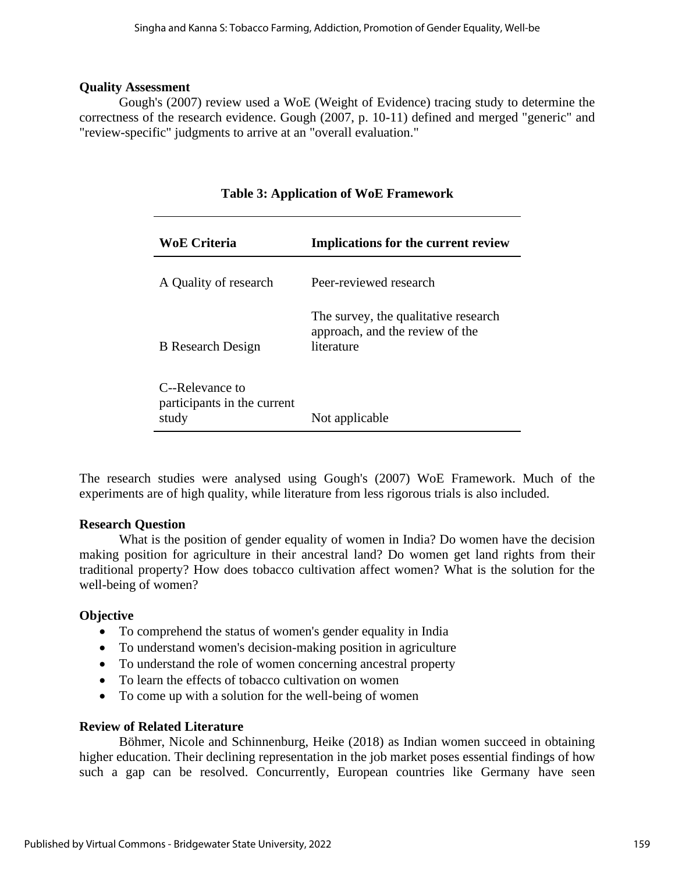#### **Quality Assessment**

Gough's (2007) review used a WoE (Weight of Evidence) tracing study to determine the correctness of the research evidence. Gough (2007, p. 10-11) defined and merged "generic" and "review-specific" judgments to arrive at an "overall evaluation."

| <b>WoE Criteria</b>                                     | <b>Implications for the current review</b>                                            |
|---------------------------------------------------------|---------------------------------------------------------------------------------------|
| A Quality of research                                   | Peer-reviewed research                                                                |
| <b>B</b> Research Design                                | The survey, the qualitative research<br>approach, and the review of the<br>literature |
| C--Relevance to<br>participants in the current<br>study | Not applicable                                                                        |

The research studies were analysed using Gough's (2007) WoE Framework. Much of the experiments are of high quality, while literature from less rigorous trials is also included.

#### **Research Question**

What is the position of gender equality of women in India? Do women have the decision making position for agriculture in their ancestral land? Do women get land rights from their traditional property? How does tobacco cultivation affect women? What is the solution for the well-being of women?

#### **Objective**

- To comprehend the status of women's gender equality in India
- To understand women's decision-making position in agriculture
- To understand the role of women concerning ancestral property
- To learn the effects of tobacco cultivation on women
- To come up with a solution for the well-being of women

#### **Review of Related Literature**

Böhmer, Nicole and Schinnenburg, Heike (2018) as Indian women succeed in obtaining higher education. Their declining representation in the job market poses essential findings of how such a gap can be resolved. Concurrently, European countries like Germany have seen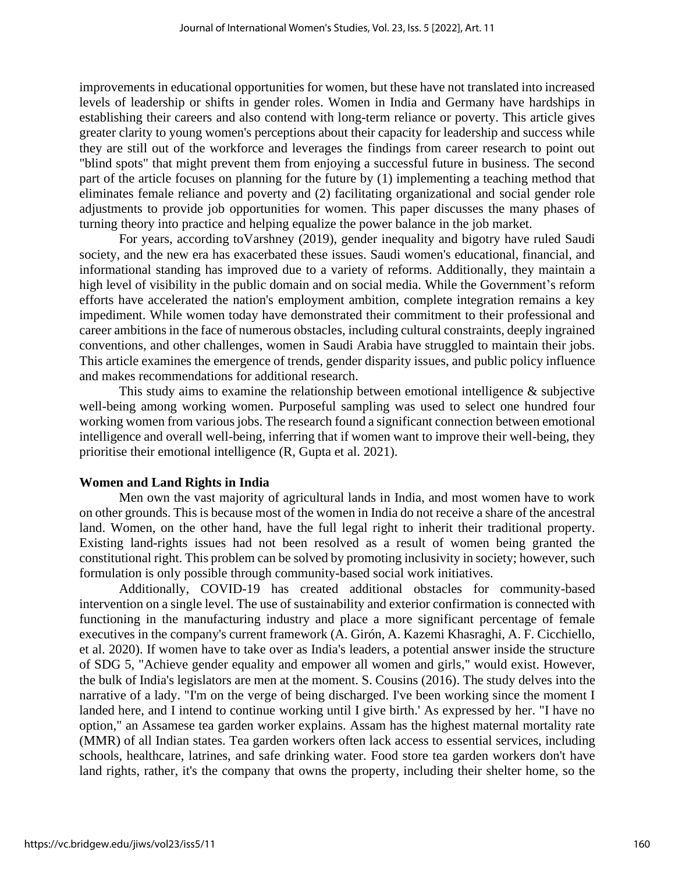improvements in educational opportunities for women, but these have not translated into increased levels of leadership or shifts in gender roles. Women in India and Germany have hardships in establishing their careers and also contend with long-term reliance or poverty. This article gives greater clarity to young women's perceptions about their capacity for leadership and success while they are still out of the workforce and leverages the findings from career research to point out "blind spots" that might prevent them from enjoying a successful future in business. The second part of the article focuses on planning for the future by (1) implementing a teaching method that eliminates female reliance and poverty and (2) facilitating organizational and social gender role adjustments to provide job opportunities for women. This paper discusses the many phases of turning theory into practice and helping equalize the power balance in the job market.

For years, according toVarshney (2019), gender inequality and bigotry have ruled Saudi society, and the new era has exacerbated these issues. Saudi women's educational, financial, and informational standing has improved due to a variety of reforms. Additionally, they maintain a high level of visibility in the public domain and on social media. While the Government's reform efforts have accelerated the nation's employment ambition, complete integration remains a key impediment. While women today have demonstrated their commitment to their professional and career ambitions in the face of numerous obstacles, including cultural constraints, deeply ingrained conventions, and other challenges, women in Saudi Arabia have struggled to maintain their jobs. This article examines the emergence of trends, gender disparity issues, and public policy influence and makes recommendations for additional research.

This study aims to examine the relationship between emotional intelligence  $\&$  subjective well-being among working women. Purposeful sampling was used to select one hundred four working women from various jobs. The research found a significant connection between emotional intelligence and overall well-being, inferring that if women want to improve their well-being, they prioritise their emotional intelligence (R, Gupta et al. 2021).

#### **Women and Land Rights in India**

Men own the vast majority of agricultural lands in India, and most women have to work on other grounds. This is because most of the women in India do not receive a share of the ancestral land. Women, on the other hand, have the full legal right to inherit their traditional property. Existing land-rights issues had not been resolved as a result of women being granted the constitutional right. This problem can be solved by promoting inclusivity in society; however, such formulation is only possible through community-based social work initiatives.

Additionally, COVID-19 has created additional obstacles for community-based intervention on a single level. The use of sustainability and exterior confirmation is connected with functioning in the manufacturing industry and place a more significant percentage of female executives in the company's current framework (A. Girón, A. Kazemi Khasraghi, A. F. Cicchiello, et al. 2020). If women have to take over as India's leaders, a potential answer inside the structure of SDG 5, "Achieve gender equality and empower all women and girls," would exist. However, the bulk of India's legislators are men at the moment. S. Cousins (2016). The study delves into the narrative of a lady. "I'm on the verge of being discharged. I've been working since the moment I landed here, and I intend to continue working until I give birth.' As expressed by her. "I have no option," an Assamese tea garden worker explains. Assam has the highest maternal mortality rate (MMR) of all Indian states. Tea garden workers often lack access to essential services, including schools, healthcare, latrines, and safe drinking water. Food store tea garden workers don't have land rights, rather, it's the company that owns the property, including their shelter home, so the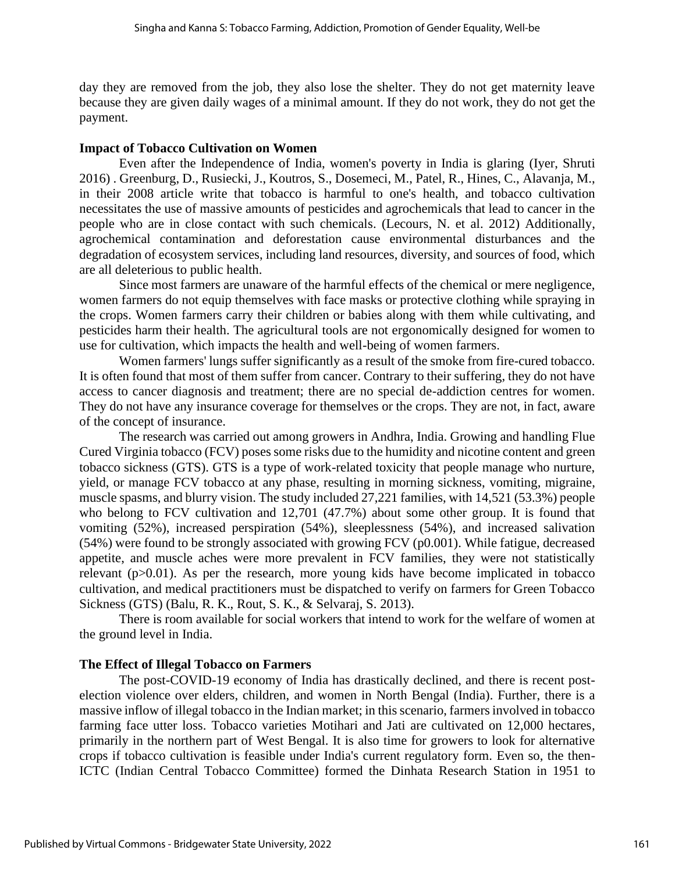day they are removed from the job, they also lose the shelter. They do not get maternity leave because they are given daily wages of a minimal amount. If they do not work, they do not get the payment.

#### **Impact of Tobacco Cultivation on Women**

Even after the Independence of India, women's poverty in India is glaring (Iyer, Shruti 2016) . Greenburg, D., Rusiecki, J., Koutros, S., Dosemeci, M., Patel, R., Hines, C., Alavanja, M., in their 2008 article write that tobacco is harmful to one's health, and tobacco cultivation necessitates the use of massive amounts of pesticides and agrochemicals that lead to cancer in the people who are in close contact with such chemicals. (Lecours, N. et al. 2012) Additionally, agrochemical contamination and deforestation cause environmental disturbances and the degradation of ecosystem services, including land resources, diversity, and sources of food, which are all deleterious to public health.

Since most farmers are unaware of the harmful effects of the chemical or mere negligence, women farmers do not equip themselves with face masks or protective clothing while spraying in the crops. Women farmers carry their children or babies along with them while cultivating, and pesticides harm their health. The agricultural tools are not ergonomically designed for women to use for cultivation, which impacts the health and well-being of women farmers.

Women farmers' lungs suffer significantly as a result of the smoke from fire-cured tobacco. It is often found that most of them suffer from cancer. Contrary to their suffering, they do not have access to cancer diagnosis and treatment; there are no special de-addiction centres for women. They do not have any insurance coverage for themselves or the crops. They are not, in fact, aware of the concept of insurance.

The research was carried out among growers in Andhra, India. Growing and handling Flue Cured Virginia tobacco (FCV) poses some risks due to the humidity and nicotine content and green tobacco sickness (GTS). GTS is a type of work-related toxicity that people manage who nurture, yield, or manage FCV tobacco at any phase, resulting in morning sickness, vomiting, migraine, muscle spasms, and blurry vision. The study included 27,221 families, with 14,521 (53.3%) people who belong to FCV cultivation and 12,701 (47.7%) about some other group. It is found that vomiting (52%), increased perspiration (54%), sleeplessness (54%), and increased salivation (54%) were found to be strongly associated with growing FCV (p0.001). While fatigue, decreased appetite, and muscle aches were more prevalent in FCV families, they were not statistically relevant (p>0.01). As per the research, more young kids have become implicated in tobacco cultivation, and medical practitioners must be dispatched to verify on farmers for Green Tobacco Sickness (GTS) (Balu, R. K., Rout, S. K., & Selvaraj, S. 2013).

There is room available for social workers that intend to work for the welfare of women at the ground level in India.

#### **The Effect of Illegal Tobacco on Farmers**

The post-COVID-19 economy of India has drastically declined, and there is recent postelection violence over elders, children, and women in North Bengal (India). Further, there is a massive inflow of illegal tobacco in the Indian market; in thisscenario, farmers involved in tobacco farming face utter loss. Tobacco varieties Motihari and Jati are cultivated on 12,000 hectares, primarily in the northern part of West Bengal. It is also time for growers to look for alternative crops if tobacco cultivation is feasible under India's current regulatory form. Even so, the then-ICTC (Indian Central Tobacco Committee) formed the Dinhata Research Station in 1951 to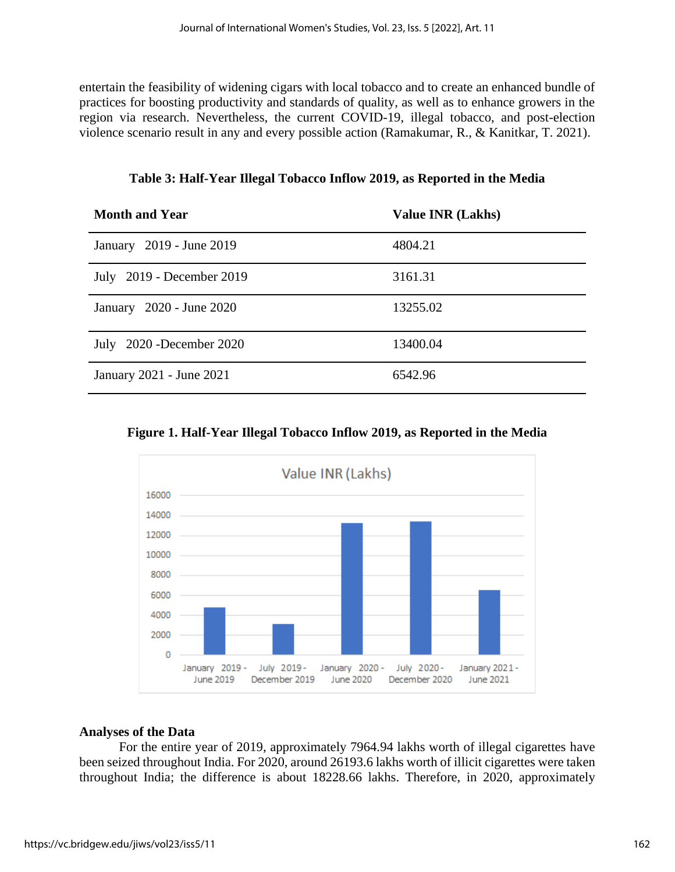entertain the feasibility of widening cigars with local tobacco and to create an enhanced bundle of practices for boosting productivity and standards of quality, as well as to enhance growers in the region via research. Nevertheless, the current COVID-19, illegal tobacco, and post-election violence scenario result in any and every possible action (Ramakumar, R., & Kanitkar, T. 2021).

**Month and Year Value INR (Lakhs)** January 2019 - June 2019 4804.21 July 2019 - December 2019 3161.31 January 2020 - June 2020 13255.02 July 2020 -December 2020 13400.04 January 2021 - June 2021 6542.96

**Table 3: Half-Year Illegal Tobacco Inflow 2019, as Reported in the Media**

|  |  | Figure 1. Half-Year Illegal Tobacco Inflow 2019, as Reported in the Media |  |
|--|--|---------------------------------------------------------------------------|--|
|  |  |                                                                           |  |



#### **Analyses of the Data**

For the entire year of 2019, approximately 7964.94 lakhs worth of illegal cigarettes have been seized throughout India. For 2020, around 26193.6 lakhs worth of illicit cigarettes were taken throughout India; the difference is about 18228.66 lakhs. Therefore, in 2020, approximately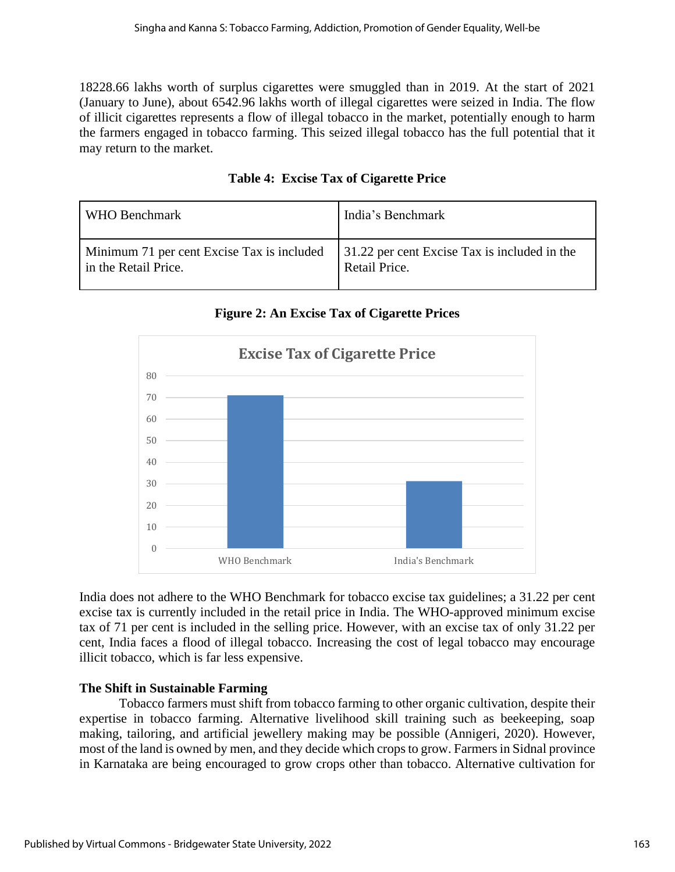18228.66 lakhs worth of surplus cigarettes were smuggled than in 2019. At the start of 2021 (January to June), about 6542.96 lakhs worth of illegal cigarettes were seized in India. The flow of illicit cigarettes represents a flow of illegal tobacco in the market, potentially enough to harm the farmers engaged in tobacco farming. This seized illegal tobacco has the full potential that it may return to the market.

| WHO Benchmark                              | India's Benchmark                            |
|--------------------------------------------|----------------------------------------------|
| Minimum 71 per cent Excise Tax is included | 31.22 per cent Excise Tax is included in the |
| in the Retail Price.                       | Retail Price.                                |

# **Table 4: Excise Tax of Cigarette Price**

**Figure 2: An Excise Tax of Cigarette Prices**



India does not adhere to the WHO Benchmark for tobacco excise tax guidelines; a 31.22 per cent excise tax is currently included in the retail price in India. The WHO-approved minimum excise tax of 71 per cent is included in the selling price. However, with an excise tax of only 31.22 per cent, India faces a flood of illegal tobacco. Increasing the cost of legal tobacco may encourage illicit tobacco, which is far less expensive.

# **The Shift in Sustainable Farming**

Tobacco farmers must shift from tobacco farming to other organic cultivation, despite their expertise in tobacco farming. Alternative livelihood skill training such as beekeeping, soap making, tailoring, and artificial jewellery making may be possible (Annigeri, 2020). However, most of the land is owned by men, and they decide which crops to grow. Farmers in Sidnal province in Karnataka are being encouraged to grow crops other than tobacco. Alternative cultivation for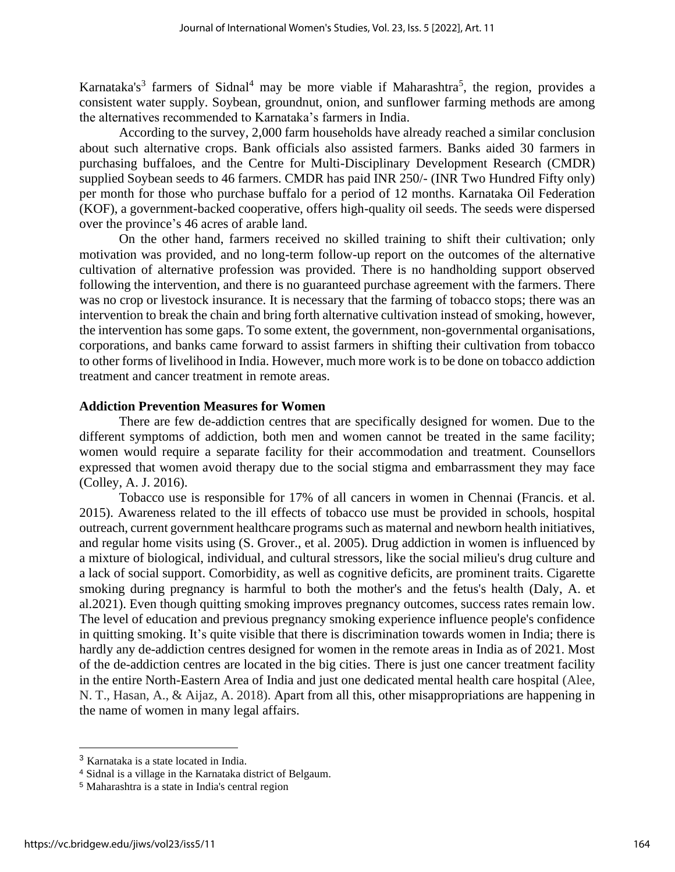Karnataka's<sup>3</sup> farmers of Sidnal<sup>4</sup> may be more viable if Maharashtra<sup>5</sup>, the region, provides a consistent water supply. Soybean, groundnut, onion, and sunflower farming methods are among the alternatives recommended to Karnataka's farmers in India.

According to the survey, 2,000 farm households have already reached a similar conclusion about such alternative crops. Bank officials also assisted farmers. Banks aided 30 farmers in purchasing buffaloes, and the Centre for Multi-Disciplinary Development Research (CMDR) supplied Soybean seeds to 46 farmers. CMDR has paid INR 250/- (INR Two Hundred Fifty only) per month for those who purchase buffalo for a period of 12 months. Karnataka Oil Federation (KOF), a government-backed cooperative, offers high-quality oil seeds. The seeds were dispersed over the province's 46 acres of arable land.

On the other hand, farmers received no skilled training to shift their cultivation; only motivation was provided, and no long-term follow-up report on the outcomes of the alternative cultivation of alternative profession was provided. There is no handholding support observed following the intervention, and there is no guaranteed purchase agreement with the farmers. There was no crop or livestock insurance. It is necessary that the farming of tobacco stops; there was an intervention to break the chain and bring forth alternative cultivation instead of smoking, however, the intervention has some gaps. To some extent, the government, non-governmental organisations, corporations, and banks came forward to assist farmers in shifting their cultivation from tobacco to other forms of livelihood in India. However, much more work is to be done on tobacco addiction treatment and cancer treatment in remote areas.

#### **Addiction Prevention Measures for Women**

There are few de-addiction centres that are specifically designed for women. Due to the different symptoms of addiction, both men and women cannot be treated in the same facility; women would require a separate facility for their accommodation and treatment. Counsellors expressed that women avoid therapy due to the social stigma and embarrassment they may face (Colley, A. J. 2016).

Tobacco use is responsible for 17% of all cancers in women in Chennai (Francis. et al. 2015). Awareness related to the ill effects of tobacco use must be provided in schools, hospital outreach, current government healthcare programs such as maternal and newborn health initiatives, and regular home visits using (S. Grover., et al. 2005). Drug addiction in women is influenced by a mixture of biological, individual, and cultural stressors, like the social milieu's drug culture and a lack of social support. Comorbidity, as well as cognitive deficits, are prominent traits. Cigarette smoking during pregnancy is harmful to both the mother's and the fetus's health (Daly, A. et al.2021). Even though quitting smoking improves pregnancy outcomes, success rates remain low. The level of education and previous pregnancy smoking experience influence people's confidence in quitting smoking. It's quite visible that there is discrimination towards women in India; there is hardly any de-addiction centres designed for women in the remote areas in India as of 2021. Most of the de-addiction centres are located in the big cities. There is just one cancer treatment facility in the entire North-Eastern Area of India and just one dedicated mental health care hospital (Alee, N. T., Hasan, A., & Aijaz, A. 2018). Apart from all this, other misappropriations are happening in the name of women in many legal affairs.

<sup>3</sup> Karnataka is a state located in India.

<sup>4</sup> Sidnal is a village in the Karnataka district of Belgaum.

<sup>5</sup> Maharashtra is a state in India's central region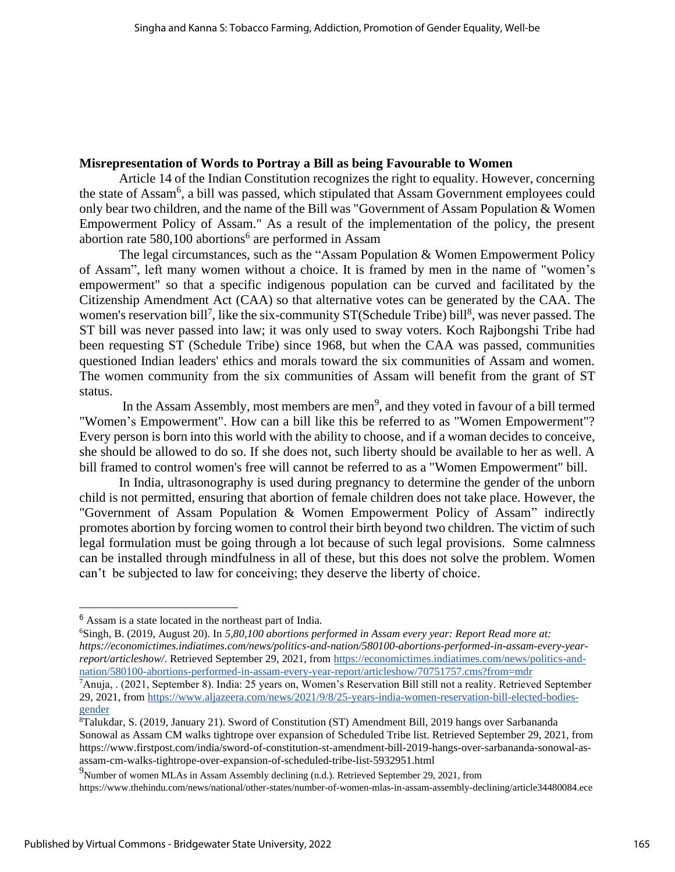#### **Misrepresentation of Words to Portray a Bill as being Favourable to Women**

Article 14 of the Indian Constitution recognizes the right to equality. However, concerning the state of Assam<sup>6</sup>, a bill was passed, which stipulated that Assam Government employees could only bear two children, and the name of the Bill was "Government of Assam Population & Women Empowerment Policy of Assam." As a result of the implementation of the policy, the present abortion rate 580,100 abortions<sup>6</sup> are performed in Assam

The legal circumstances, such as the "Assam Population & Women Empowerment Policy of Assam", left many women without a choice. It is framed by men in the name of "women's empowerment" so that a specific indigenous population can be curved and facilitated by the Citizenship Amendment Act (CAA) so that alternative votes can be generated by the CAA. The women's reservation bill<sup>7</sup>, like the six-community ST(Schedule Tribe) bill<sup>8</sup>, was never passed. The ST bill was never passed into law; it was only used to sway voters. Koch Rajbongshi Tribe had been requesting ST (Schedule Tribe) since 1968, but when the CAA was passed, communities questioned Indian leaders' ethics and morals toward the six communities of Assam and women. The women community from the six communities of Assam will benefit from the grant of ST status.

In the Assam Assembly, most members are men<sup>9</sup>, and they voted in favour of a bill termed "Women's Empowerment". How can a bill like this be referred to as "Women Empowerment"? Every person is born into this world with the ability to choose, and if a woman decides to conceive, she should be allowed to do so. If she does not, such liberty should be available to her as well. A bill framed to control women's free will cannot be referred to as a "Women Empowerment" bill.

In India, ultrasonography is used during pregnancy to determine the gender of the unborn child is not permitted, ensuring that abortion of female children does not take place. However, the "Government of Assam Population & Women Empowerment Policy of Assam" indirectly promotes abortion by forcing women to control their birth beyond two children. The victim of such legal formulation must be going through a lot because of such legal provisions. Some calmness can be installed through mindfulness in all of these, but this does not solve the problem. Women can't be subjected to law for conceiving; they deserve the liberty of choice.

<sup>6</sup> Assam is a state located in the northeast part of India.

<sup>6</sup>Singh, B. (2019, August 20). In *5,80,100 abortions performed in Assam every year: Report Read more at: https://economictimes.indiatimes.com/news/politics-and-nation/580100-abortions-performed-in-assam-every-yearreport/articleshow/*. Retrieved September 29, 2021, from [https://economictimes.indiatimes.com/news/politics-and](https://economictimes.indiatimes.com/news/politics-and-nation/580100-abortions-performed-in-assam-every-year-report/articleshow/70751757.cms?from=mdr)[nation/580100-abortions-performed-in-assam-every-year-report/articleshow/70751757.cms?from=mdr](https://economictimes.indiatimes.com/news/politics-and-nation/580100-abortions-performed-in-assam-every-year-report/articleshow/70751757.cms?from=mdr)

<sup>7</sup>Anuja, . (2021, September 8). India: 25 years on, Women's Reservation Bill still not a reality. Retrieved September 29, 2021, from [https://www.aljazeera.com/news/2021/9/8/25-years-india-women-reservation-bill-elected-bodies](https://www.aljazeera.com/news/2021/9/8/25-years-india-women-reservation-bill-elected-bodies-gender)[gender](https://www.aljazeera.com/news/2021/9/8/25-years-india-women-reservation-bill-elected-bodies-gender)

<sup>8</sup>Talukdar, S. (2019, January 21). Sword of Constitution (ST) Amendment Bill, 2019 hangs over Sarbananda Sonowal as Assam CM walks tightrope over expansion of Scheduled Tribe list. Retrieved September 29, 2021, from https://www.firstpost.com/india/sword-of-constitution-st-amendment-bill-2019-hangs-over-sarbananda-sonowal-asassam-cm-walks-tightrope-over-expansion-of-scheduled-tribe-list-5932951.html

<sup>&</sup>lt;sup>9</sup>Number of women MLAs in Assam Assembly declining (n.d.). Retrieved September 29, 2021, from

https://www.thehindu.com/news/national/other-states/number-of-women-mlas-in-assam-assembly-declining/article34480084.ece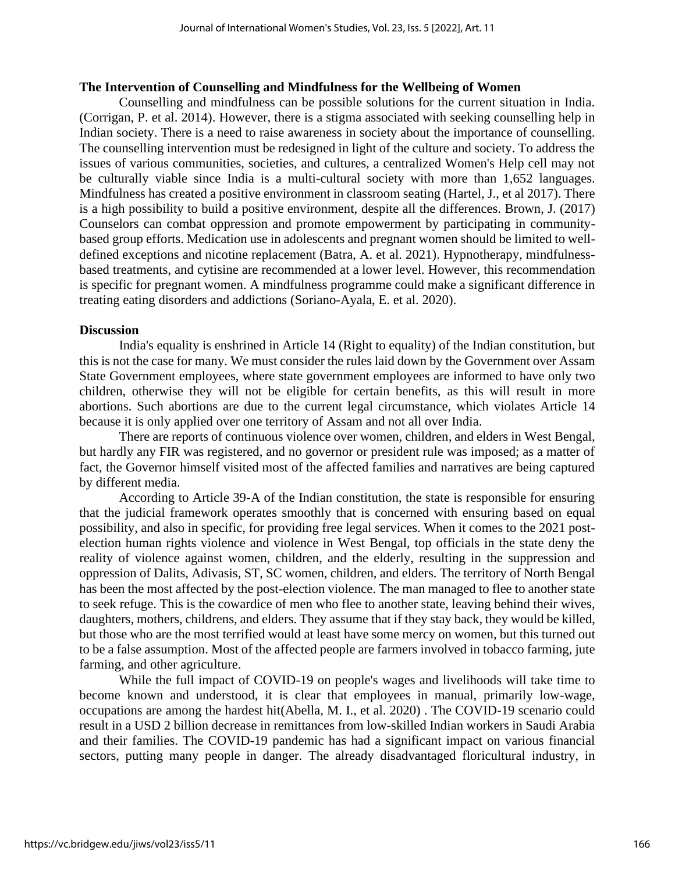#### **The Intervention of Counselling and Mindfulness for the Wellbeing of Women**

Counselling and mindfulness can be possible solutions for the current situation in India. (Corrigan, P. et al. 2014). However, there is a stigma associated with seeking counselling help in Indian society. There is a need to raise awareness in society about the importance of counselling. The counselling intervention must be redesigned in light of the culture and society. To address the issues of various communities, societies, and cultures, a centralized Women's Help cell may not be culturally viable since India is a multi-cultural society with more than 1,652 languages. Mindfulness has created a positive environment in classroom seating (Hartel, J., et al 2017). There is a high possibility to build a positive environment, despite all the differences. Brown, J. (2017) Counselors can combat oppression and promote empowerment by participating in communitybased group efforts. Medication use in adolescents and pregnant women should be limited to welldefined exceptions and nicotine replacement (Batra, A. et al. 2021). Hypnotherapy, mindfulnessbased treatments, and cytisine are recommended at a lower level. However, this recommendation is specific for pregnant women. A mindfulness programme could make a significant difference in treating eating disorders and addictions (Soriano-Ayala, E. et al. 2020).

#### **Discussion**

India's equality is enshrined in Article 14 (Right to equality) of the Indian constitution, but this is not the case for many. We must consider the rules laid down by the Government over Assam State Government employees, where state government employees are informed to have only two children, otherwise they will not be eligible for certain benefits, as this will result in more abortions. Such abortions are due to the current legal circumstance, which violates Article 14 because it is only applied over one territory of Assam and not all over India.

There are reports of continuous violence over women, children, and elders in West Bengal, but hardly any FIR was registered, and no governor or president rule was imposed; as a matter of fact, the Governor himself visited most of the affected families and narratives are being captured by different media.

According to Article 39-A of the Indian constitution, the state is responsible for ensuring that the judicial framework operates smoothly that is concerned with ensuring based on equal possibility, and also in specific, for providing free legal services. When it comes to the 2021 postelection human rights violence and violence in West Bengal, top officials in the state deny the reality of violence against women, children, and the elderly, resulting in the suppression and oppression of Dalits, Adivasis, ST, SC women, children, and elders. The territory of North Bengal has been the most affected by the post-election violence. The man managed to flee to another state to seek refuge. This is the cowardice of men who flee to another state, leaving behind their wives, daughters, mothers, childrens, and elders. They assume that if they stay back, they would be killed, but those who are the most terrified would at least have some mercy on women, but this turned out to be a false assumption. Most of the affected people are farmers involved in tobacco farming, jute farming, and other agriculture.

While the full impact of COVID-19 on people's wages and livelihoods will take time to become known and understood, it is clear that employees in manual, primarily low-wage, occupations are among the hardest hit(Abella, M. I., et al. 2020) . The COVID-19 scenario could result in a USD 2 billion decrease in remittances from low-skilled Indian workers in Saudi Arabia and their families. The COVID-19 pandemic has had a significant impact on various financial sectors, putting many people in danger. The already disadvantaged floricultural industry, in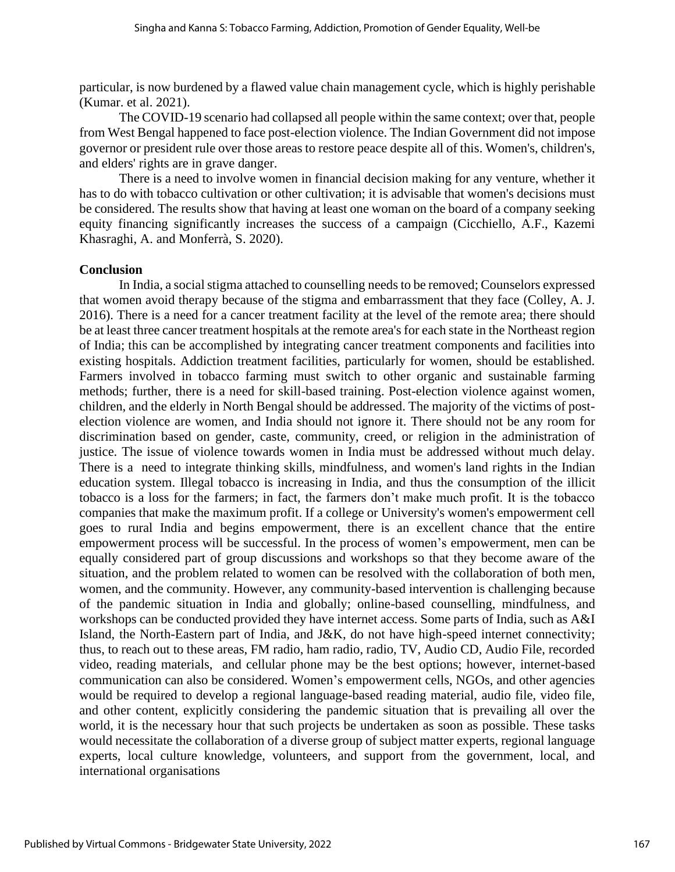particular, is now burdened by a flawed value chain management cycle, which is highly perishable (Kumar. et al. 2021).

The COVID-19 scenario had collapsed all people within the same context; over that, people from West Bengal happened to face post-election violence. The Indian Government did not impose governor or president rule over those areas to restore peace despite all of this. Women's, children's, and elders' rights are in grave danger.

There is a need to involve women in financial decision making for any venture, whether it has to do with tobacco cultivation or other cultivation; it is advisable that women's decisions must be considered. The results show that having at least one woman on the board of a company seeking equity financing significantly increases the success of a campaign (Cicchiello, A.F., Kazemi Khasraghi, A. and Monferrà, S. 2020).

#### **Conclusion**

In India, a social stigma attached to counselling needs to be removed; Counselors expressed that women avoid therapy because of the stigma and embarrassment that they face (Colley, A. J. 2016). There is a need for a cancer treatment facility at the level of the remote area; there should be at least three cancer treatment hospitals at the remote area's for each state in the Northeast region of India; this can be accomplished by integrating cancer treatment components and facilities into existing hospitals. Addiction treatment facilities, particularly for women, should be established. Farmers involved in tobacco farming must switch to other organic and sustainable farming methods; further, there is a need for skill-based training. Post-election violence against women, children, and the elderly in North Bengal should be addressed. The majority of the victims of postelection violence are women, and India should not ignore it. There should not be any room for discrimination based on gender, caste, community, creed, or religion in the administration of justice. The issue of violence towards women in India must be addressed without much delay. There is a need to integrate thinking skills, mindfulness, and women's land rights in the Indian education system. Illegal tobacco is increasing in India, and thus the consumption of the illicit tobacco is a loss for the farmers; in fact, the farmers don't make much profit. It is the tobacco companies that make the maximum profit. If a college or University's women's empowerment cell goes to rural India and begins empowerment, there is an excellent chance that the entire empowerment process will be successful. In the process of women's empowerment, men can be equally considered part of group discussions and workshops so that they become aware of the situation, and the problem related to women can be resolved with the collaboration of both men, women, and the community. However, any community-based intervention is challenging because of the pandemic situation in India and globally; online-based counselling, mindfulness, and workshops can be conducted provided they have internet access. Some parts of India, such as A&I Island, the North-Eastern part of India, and J&K, do not have high-speed internet connectivity; thus, to reach out to these areas, FM radio, ham radio, radio, TV, Audio CD, Audio File, recorded video, reading materials, and cellular phone may be the best options; however, internet-based communication can also be considered. Women's empowerment cells, NGOs, and other agencies would be required to develop a regional language-based reading material, audio file, video file, and other content, explicitly considering the pandemic situation that is prevailing all over the world, it is the necessary hour that such projects be undertaken as soon as possible. These tasks would necessitate the collaboration of a diverse group of subject matter experts, regional language experts, local culture knowledge, volunteers, and support from the government, local, and international organisations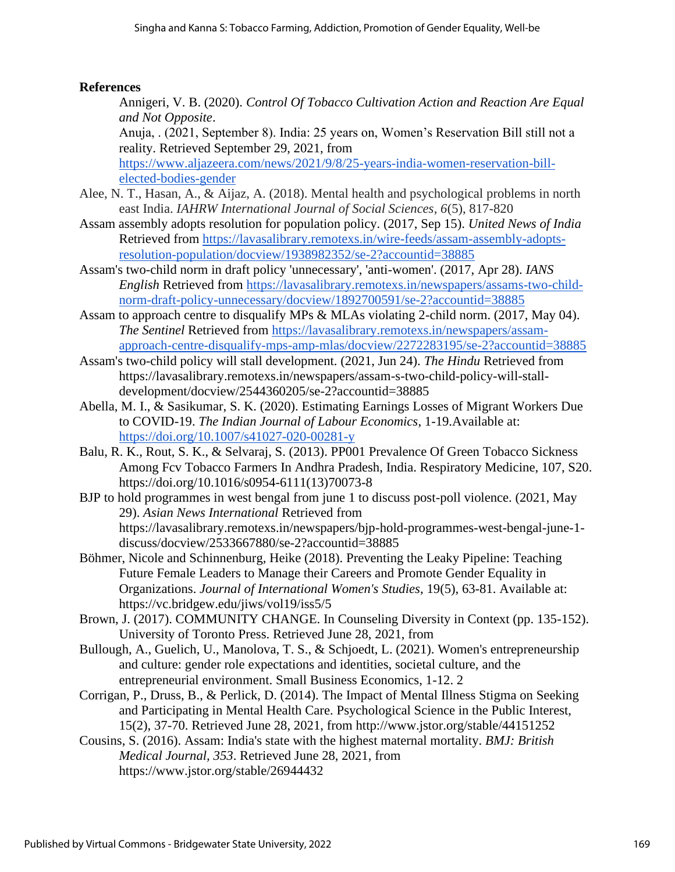### **References**

Annigeri, V. B. (2020). *Control Of Tobacco Cultivation Action and Reaction Are Equal and Not Opposite*.

Anuja, . (2021, September 8). India: 25 years on, Women's Reservation Bill still not a reality. Retrieved September 29, 2021, from

[https://www.aljazeera.com/news/2021/9/8/25-years-india-women-reservation-bill](https://www.aljazeera.com/news/2021/9/8/25-years-india-women-reservation-bill-elected-bodies-gender)[elected-bodies-gender](https://www.aljazeera.com/news/2021/9/8/25-years-india-women-reservation-bill-elected-bodies-gender)

- Alee, N. T., Hasan, A., & Aijaz, A. (2018). Mental health and psychological problems in north east India. *IAHRW International Journal of Social Sciences*, *6*(5), 817-820
- Assam assembly adopts resolution for population policy. (2017, Sep 15). *United News of India* Retrieved from [https://lavasalibrary.remotexs.in/wire-feeds/assam-assembly-adopts](https://lavasalibrary.remotexs.in/wire-feeds/assam-assembly-adopts-resolution-population/docview/1938982352/se-2?accountid=38885)[resolution-population/docview/1938982352/se-2?accountid=38885](https://lavasalibrary.remotexs.in/wire-feeds/assam-assembly-adopts-resolution-population/docview/1938982352/se-2?accountid=38885)
- Assam's two-child norm in draft policy 'unnecessary', 'anti-women'. (2017, Apr 28). *IANS English* Retrieved from [https://lavasalibrary.remotexs.in/newspapers/assams-two-child](https://lavasalibrary.remotexs.in/newspapers/assams-two-child-norm-draft-policy-unnecessary/docview/1892700591/se-2?accountid=38885)[norm-draft-policy-unnecessary/docview/1892700591/se-2?accountid=38885](https://lavasalibrary.remotexs.in/newspapers/assams-two-child-norm-draft-policy-unnecessary/docview/1892700591/se-2?accountid=38885)
- Assam to approach centre to disqualify MPs & MLAs violating 2-child norm. (2017, May 04). *The Sentinel* Retrieved from [https://lavasalibrary.remotexs.in/newspapers/assam](https://lavasalibrary.remotexs.in/newspapers/assam-approach-centre-disqualify-mps-amp-mlas/docview/2272283195/se-2?accountid=38885)[approach-centre-disqualify-mps-amp-mlas/docview/2272283195/se-2?accountid=38885](https://lavasalibrary.remotexs.in/newspapers/assam-approach-centre-disqualify-mps-amp-mlas/docview/2272283195/se-2?accountid=38885)
- Assam's two-child policy will stall development. (2021, Jun 24). *The Hindu* Retrieved from https://lavasalibrary.remotexs.in/newspapers/assam-s-two-child-policy-will-stalldevelopment/docview/2544360205/se-2?accountid=38885
- Abella, M. I., & Sasikumar, S. K. (2020). Estimating Earnings Losses of Migrant Workers Due to COVID-19. *The Indian Journal of Labour Economics*, 1-19.Available at: <https://doi.org/10.1007/s41027-020-00281-y>
- Balu, R. K., Rout, S. K., & Selvaraj, S. (2013). PP001 Prevalence Of Green Tobacco Sickness Among Fcv Tobacco Farmers In Andhra Pradesh, India. Respiratory Medicine, 107, S20. https://doi.org/10.1016/s0954-6111(13)70073-8
- BJP to hold programmes in west bengal from june 1 to discuss post-poll violence. (2021, May 29). *Asian News International* Retrieved from https://lavasalibrary.remotexs.in/newspapers/bjp-hold-programmes-west-bengal-june-1 discuss/docview/2533667880/se-2?accountid=38885
- Böhmer, Nicole and Schinnenburg, Heike (2018). Preventing the Leaky Pipeline: Teaching Future Female Leaders to Manage their Careers and Promote Gender Equality in Organizations. *Journal of International Women's Studies*, 19(5), 63-81. Available at: https://vc.bridgew.edu/jiws/vol19/iss5/5
- Brown, J. (2017). COMMUNITY CHANGE. In Counseling Diversity in Context (pp. 135-152). University of Toronto Press. Retrieved June 28, 2021, from
- Bullough, A., Guelich, U., Manolova, T. S., & Schjoedt, L. (2021). Women's entrepreneurship and culture: gender role expectations and identities, societal culture, and the entrepreneurial environment. Small Business Economics, 1-12. 2
- Corrigan, P., Druss, B., & Perlick, D. (2014). The Impact of Mental Illness Stigma on Seeking and Participating in Mental Health Care. Psychological Science in the Public Interest, 15(2), 37-70. Retrieved June 28, 2021, from http://www.jstor.org/stable/44151252
- Cousins, S. (2016). Assam: India's state with the highest maternal mortality. *BMJ: British Medical Journal, 353*. Retrieved June 28, 2021, from https://www.jstor.org/stable/26944432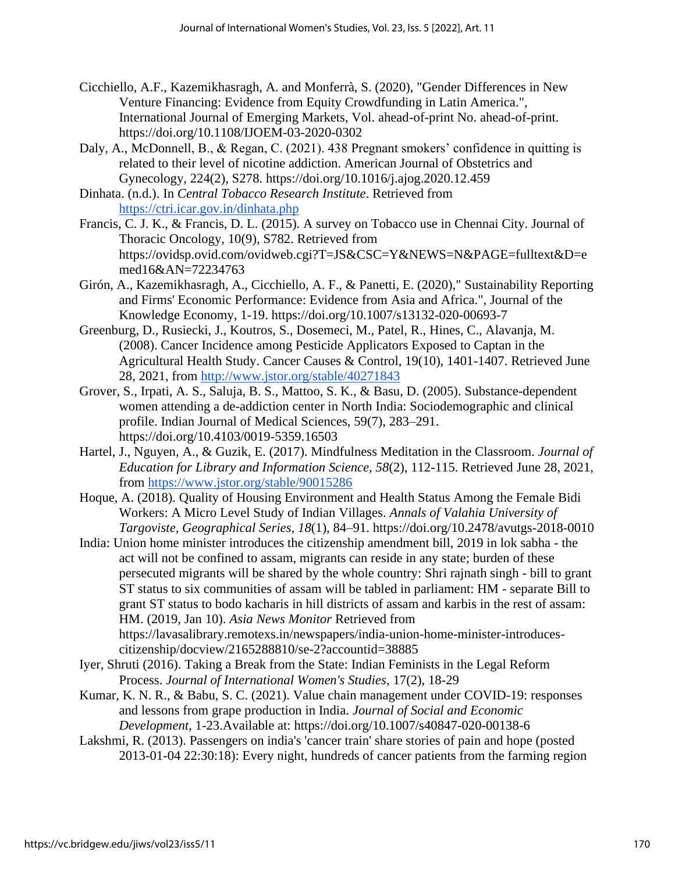- Cicchiello, A.F., Kazemikhasragh, A. and Monferrà, S. (2020), "Gender Differences in New Venture Financing: Evidence from Equity Crowdfunding in Latin America.", International Journal of Emerging Markets, Vol. ahead-of-print No. ahead-of-print. <https://doi.org/10.1108/IJOEM-03-2020-0302>
- Daly, A., McDonnell, B., & Regan, C. (2021). 438 Pregnant smokers' confidence in quitting is related to their level of nicotine addiction. American Journal of Obstetrics and Gynecology, 224(2), S278. https://doi.org/10.1016/j.ajog.2020.12.459
- Dinhata. (n.d.). In *Central Tobacco Research Institute*. Retrieved from <https://ctri.icar.gov.in/dinhata.php>
- Francis, C. J. K., & Francis, D. L. (2015). A survey on Tobacco use in Chennai City. Journal of Thoracic Oncology, 10(9), S782. Retrieved from https://ovidsp.ovid.com/ovidweb.cgi?T=JS&CSC=Y&NEWS=N&PAGE=fulltext&D=e med16&AN=72234763
- Girón, A., Kazemikhasragh, A., Cicchiello, A. F., & Panetti, E. (2020)," Sustainability Reporting and Firms' Economic Performance: Evidence from Asia and Africa.", Journal of the Knowledge Economy, 1-19. https://doi.org/10.1007/s13132-020-00693-7
- Greenburg, D., Rusiecki, J., Koutros, S., Dosemeci, M., Patel, R., Hines, C., Alavanja, M. (2008). Cancer Incidence among Pesticide Applicators Exposed to Captan in the Agricultural Health Study. Cancer Causes & Control, 19(10), 1401-1407. Retrieved June 28, 2021, from<http://www.jstor.org/stable/40271843>
- Grover, S., Irpati, A. S., Saluja, B. S., Mattoo, S. K., & Basu, D. (2005). Substance-dependent women attending a de-addiction center in North India: Sociodemographic and clinical profile. Indian Journal of Medical Sciences, 59(7), 283–291. https://doi.org/10.4103/0019-5359.16503
- Hartel, J., Nguyen, A., & Guzik, E. (2017). Mindfulness Meditation in the Classroom. *Journal of Education for Library and Information Science, 58*(2), 112-115. Retrieved June 28, 2021, from<https://www.jstor.org/stable/90015286>
- Hoque, A. (2018). Quality of Housing Environment and Health Status Among the Female Bidi Workers: A Micro Level Study of Indian Villages. *Annals of Valahia University of Targoviste, Geographical Series*, *18*(1), 84–91. https://doi.org/10.2478/avutgs-2018-0010

India: Union home minister introduces the citizenship amendment bill, 2019 in lok sabha - the act will not be confined to assam, migrants can reside in any state; burden of these persecuted migrants will be shared by the whole country: Shri rajnath singh - bill to grant ST status to six communities of assam will be tabled in parliament: HM - separate Bill to grant ST status to bodo kacharis in hill districts of assam and karbis in the rest of assam: HM. (2019, Jan 10). *Asia News Monitor* Retrieved from https://lavasalibrary.remotexs.in/newspapers/india-union-home-minister-introducescitizenship/docview/2165288810/se-2?accountid=38885

- Iyer, Shruti (2016). Taking a Break from the State: Indian Feminists in the Legal Reform Process. *Journal of International Women's Studies*, 17(2), 18-29
- Kumar, K. N. R., & Babu, S. C. (2021). Value chain management under COVID-19: responses and lessons from grape production in India. *Journal of Social and Economic Development*, 1-23.Available at: https://doi.org/10.1007/s40847-020-00138-6
- Lakshmi, R. (2013). Passengers on india's 'cancer train' share stories of pain and hope (posted 2013-01-04 22:30:18): Every night, hundreds of cancer patients from the farming region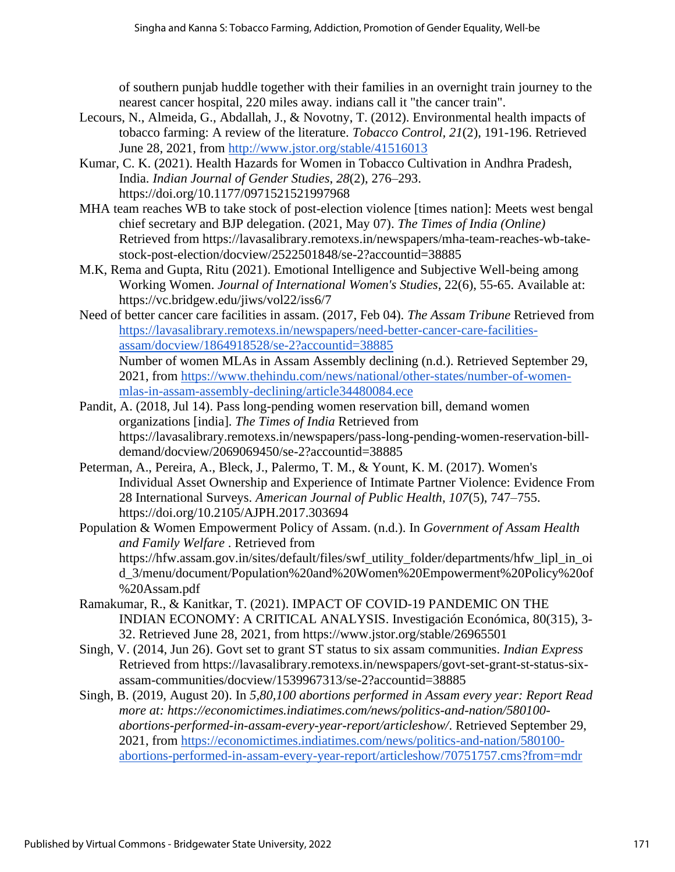of southern punjab huddle together with their families in an overnight train journey to the nearest cancer hospital, 220 miles away. indians call it "the cancer train".

- Lecours, N., Almeida, G., Abdallah, J., & Novotny, T. (2012). Environmental health impacts of tobacco farming: A review of the literature. *Tobacco Control, 21*(2), 191-196. Retrieved June 28, 2021, from<http://www.jstor.org/stable/41516013>
- Kumar, C. K. (2021). Health Hazards for Women in Tobacco Cultivation in Andhra Pradesh, India. *Indian Journal of Gender Studies*, *28*(2), 276–293. https://doi.org/10.1177/0971521521997968
- MHA team reaches WB to take stock of post-election violence [times nation]: Meets west bengal chief secretary and BJP delegation. (2021, May 07). *The Times of India (Online)* Retrieved from https://lavasalibrary.remotexs.in/newspapers/mha-team-reaches-wb-takestock-post-election/docview/2522501848/se-2?accountid=38885
- M.K, Rema and Gupta, Ritu (2021). Emotional Intelligence and Subjective Well-being among Working Women. *Journal of International Women's Studies*, 22(6), 55-65. Available at: https://vc.bridgew.edu/jiws/vol22/iss6/7
- Need of better cancer care facilities in assam. (2017, Feb 04). *The Assam Tribune* Retrieved from [https://lavasalibrary.remotexs.in/newspapers/need-better-cancer-care-facilities](https://lavasalibrary.remotexs.in/newspapers/need-better-cancer-care-facilities-assam/docview/1864918528/se-2?accountid=38885)[assam/docview/1864918528/se-2?accountid=38885](https://lavasalibrary.remotexs.in/newspapers/need-better-cancer-care-facilities-assam/docview/1864918528/se-2?accountid=38885) Number of women MLAs in Assam Assembly declining (n.d.). Retrieved September 29, 2021, from [https://www.thehindu.com/news/national/other-states/number-of-women-](https://www.thehindu.com/news/national/other-states/number-of-women-mlas-in-assam-assembly-declining/article34480084.ece)
- [mlas-in-assam-assembly-declining/article34480084.ece](https://www.thehindu.com/news/national/other-states/number-of-women-mlas-in-assam-assembly-declining/article34480084.ece) Pandit, A. (2018, Jul 14). Pass long-pending women reservation bill, demand women organizations [india]. *The Times of India* Retrieved from https://lavasalibrary.remotexs.in/newspapers/pass-long-pending-women-reservation-bill-
- demand/docview/2069069450/se-2?accountid=38885 Peterman, A., Pereira, A., Bleck, J., Palermo, T. M., & Yount, K. M. (2017). Women's Individual Asset Ownership and Experience of Intimate Partner Violence: Evidence From 28 International Surveys. *American Journal of Public Health*, *107*(5), 747–755. https://doi.org/10.2105/AJPH.2017.303694
- Population & Women Empowerment Policy of Assam. (n.d.). In *Government of Assam Health and Family Welfare* . Retrieved from https://hfw.assam.gov.in/sites/default/files/swf\_utility\_folder/departments/hfw\_lipl\_in\_oi d\_3/menu/document/Population%20and%20Women%20Empowerment%20Policy%20of %20Assam.pdf
- Ramakumar, R., & Kanitkar, T. (2021). IMPACT OF COVID-19 PANDEMIC ON THE INDIAN ECONOMY: A CRITICAL ANALYSIS. Investigación Económica, 80(315), 3- 32. Retrieved June 28, 2021, from https://www.jstor.org/stable/26965501
- Singh, V. (2014, Jun 26). Govt set to grant ST status to six assam communities. *Indian Express* Retrieved from [https://lavasalibrary.remotexs.in/newspapers/govt-set-grant-st-status-six](https://lavasalibrary.remotexs.in/newspapers/govt-set-grant-st-status-six-assam-communities/docview/1539967313/se-2?accountid=38885)[assam-communities/docview/1539967313/se-2?accountid=38885](https://lavasalibrary.remotexs.in/newspapers/govt-set-grant-st-status-six-assam-communities/docview/1539967313/se-2?accountid=38885)
- Singh, B. (2019, August 20). In *5,80,100 abortions performed in Assam every year: Report Read more at: https://economictimes.indiatimes.com/news/politics-and-nation/580100 abortions-performed-in-assam-every-year-report/articleshow/*. Retrieved September 29, 2021, from [https://economictimes.indiatimes.com/news/politics-and-nation/580100](https://economictimes.indiatimes.com/news/politics-and-nation/580100-abortions-performed-in-assam-every-year-report/articleshow/70751757.cms?from=mdr) [abortions-performed-in-assam-every-year-report/articleshow/70751757.cms?from=mdr](https://economictimes.indiatimes.com/news/politics-and-nation/580100-abortions-performed-in-assam-every-year-report/articleshow/70751757.cms?from=mdr)